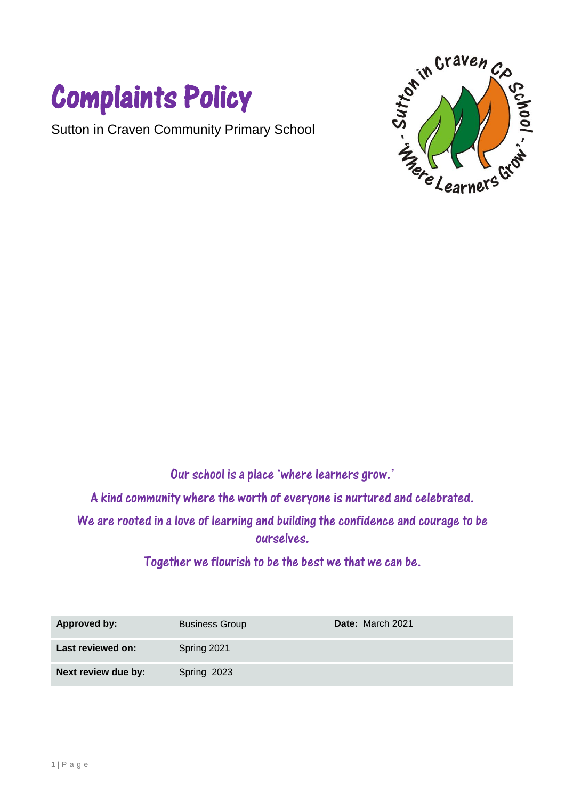

Sutton in Craven Community Primary School



Our school is a place 'where learners grow.' A kind community where the worth of everyone is nurtured and celebrated. We are rooted in a love of learning and building the confidence and courage to be ourselves.

Together we flourish to be the best we that we can be.

| <b>Approved by:</b> | <b>Business Group</b> | Date: March 2021 |
|---------------------|-----------------------|------------------|
| Last reviewed on:   | Spring 2021           |                  |
| Next review due by: | Spring 2023           |                  |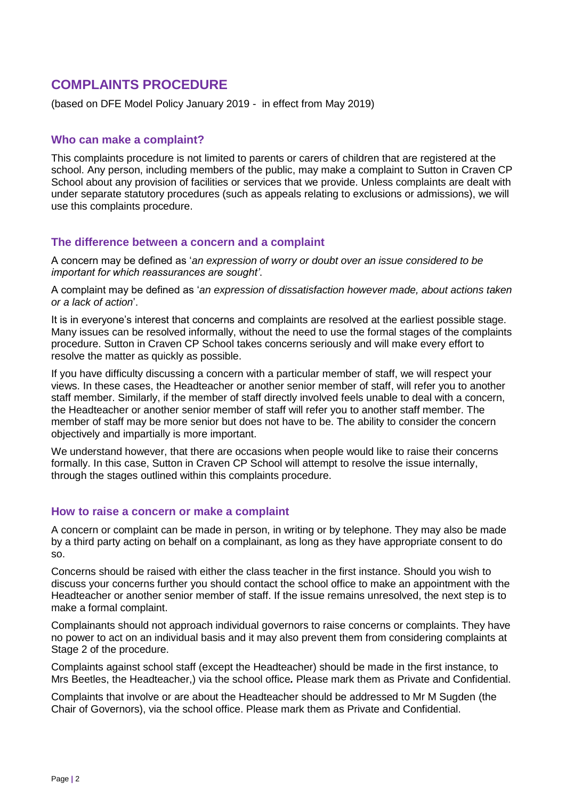# **COMPLAINTS PROCEDURE**

(based on DFE Model Policy January 2019 - in effect from May 2019)

#### **Who can make a complaint?**

This complaints procedure is not limited to parents or carers of children that are registered at the school. Any person, including members of the public, may make a complaint to Sutton in Craven CP School about any provision of facilities or services that we provide. Unless complaints are dealt with under separate statutory procedures (such as appeals relating to exclusions or admissions), we will use this complaints procedure.

# **The difference between a concern and a complaint**

A concern may be defined as '*an expression of worry or doubt over an issue considered to be important for which reassurances are sought'*.

A complaint may be defined as '*an expression of dissatisfaction however made, about actions taken or a lack of action*'.

It is in everyone's interest that concerns and complaints are resolved at the earliest possible stage. Many issues can be resolved informally, without the need to use the formal stages of the complaints procedure. Sutton in Craven CP School takes concerns seriously and will make every effort to resolve the matter as quickly as possible.

If you have difficulty discussing a concern with a particular member of staff, we will respect your views. In these cases, the Headteacher or another senior member of staff, will refer you to another staff member. Similarly, if the member of staff directly involved feels unable to deal with a concern, the Headteacher or another senior member of staff will refer you to another staff member. The member of staff may be more senior but does not have to be. The ability to consider the concern objectively and impartially is more important.

We understand however, that there are occasions when people would like to raise their concerns formally. In this case, Sutton in Craven CP School will attempt to resolve the issue internally, through the stages outlined within this complaints procedure.

#### **How to raise a concern or make a complaint**

A concern or complaint can be made in person, in writing or by telephone. They may also be made by a third party acting on behalf on a complainant, as long as they have appropriate consent to do so.

Concerns should be raised with either the class teacher in the first instance. Should you wish to discuss your concerns further you should contact the school office to make an appointment with the Headteacher or another senior member of staff. If the issue remains unresolved, the next step is to make a formal complaint.

Complainants should not approach individual governors to raise concerns or complaints. They have no power to act on an individual basis and it may also prevent them from considering complaints at Stage 2 of the procedure.

Complaints against school staff (except the Headteacher) should be made in the first instance, to Mrs Beetles, the Headteacher,) via the school office*.* Please mark them as Private and Confidential.

Complaints that involve or are about the Headteacher should be addressed to Mr M Sugden (the Chair of Governors), via the school office. Please mark them as Private and Confidential.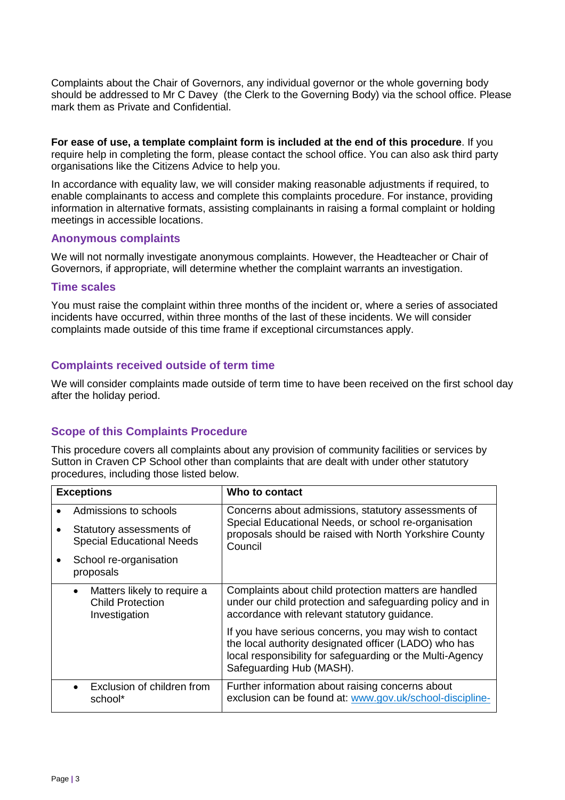Complaints about the Chair of Governors, any individual governor or the whole governing body should be addressed to Mr C Davey (the Clerk to the Governing Body) via the school office. Please mark them as Private and Confidential.

**For ease of use, a template complaint form is included at the end of this procedure**. If you require help in completing the form, please contact the school office. You can also ask third party organisations like the Citizens Advice to help you.

In accordance with equality law, we will consider making reasonable adjustments if required, to enable complainants to access and complete this complaints procedure. For instance, providing information in alternative formats, assisting complainants in raising a formal complaint or holding meetings in accessible locations.

#### **Anonymous complaints**

We will not normally investigate anonymous complaints. However, the Headteacher or Chair of Governors, if appropriate, will determine whether the complaint warrants an investigation.

#### **Time scales**

You must raise the complaint within three months of the incident or, where a series of associated incidents have occurred, within three months of the last of these incidents. We will consider complaints made outside of this time frame if exceptional circumstances apply.

#### **Complaints received outside of term time**

We will consider complaints made outside of term time to have been received on the first school day after the holiday period.

# **Scope of this Complaints Procedure**

This procedure covers all complaints about any provision of community facilities or services by Sutton in Craven CP School other than complaints that are dealt with under other statutory procedures, including those listed below.

| <b>Exceptions</b> |                                                                                       | Who to contact                                                                                                                                                                                          |
|-------------------|---------------------------------------------------------------------------------------|---------------------------------------------------------------------------------------------------------------------------------------------------------------------------------------------------------|
|                   | Admissions to schools<br>Statutory assessments of<br><b>Special Educational Needs</b> | Concerns about admissions, statutory assessments of<br>Special Educational Needs, or school re-organisation<br>proposals should be raised with North Yorkshire County<br>Council                        |
|                   | School re-organisation<br>proposals                                                   |                                                                                                                                                                                                         |
|                   | Matters likely to require a<br><b>Child Protection</b><br>Investigation               | Complaints about child protection matters are handled<br>under our child protection and safeguarding policy and in<br>accordance with relevant statutory guidance.                                      |
|                   |                                                                                       | If you have serious concerns, you may wish to contact<br>the local authority designated officer (LADO) who has<br>local responsibility for safeguarding or the Multi-Agency<br>Safeguarding Hub (MASH). |
|                   | Exclusion of children from<br>school*                                                 | Further information about raising concerns about<br>exclusion can be found at: www.gov.uk/school-discipline-                                                                                            |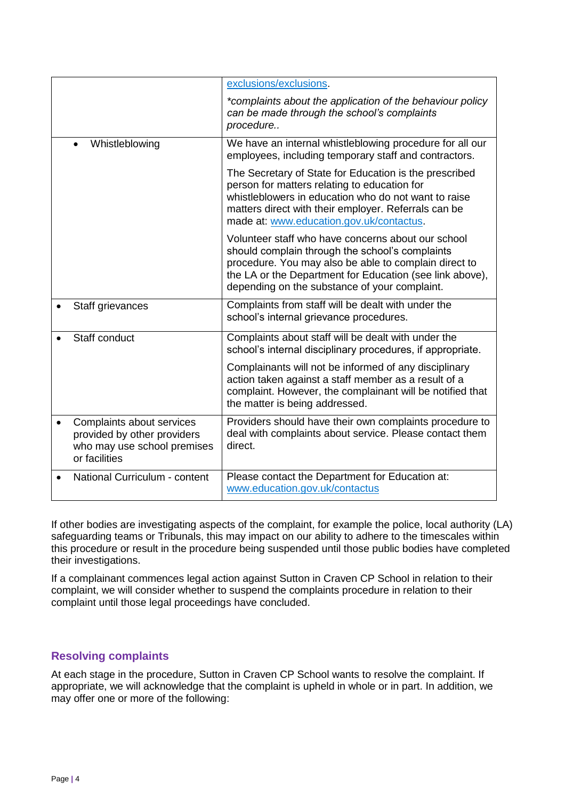|                                                                                                          | exclusions/exclusions.                                                                                                                                                                                                                                                      |
|----------------------------------------------------------------------------------------------------------|-----------------------------------------------------------------------------------------------------------------------------------------------------------------------------------------------------------------------------------------------------------------------------|
|                                                                                                          | *complaints about the application of the behaviour policy<br>can be made through the school's complaints<br>procedure                                                                                                                                                       |
| Whistleblowing                                                                                           | We have an internal whistleblowing procedure for all our<br>employees, including temporary staff and contractors.                                                                                                                                                           |
|                                                                                                          | The Secretary of State for Education is the prescribed<br>person for matters relating to education for<br>whistleblowers in education who do not want to raise<br>matters direct with their employer. Referrals can be<br>made at: www.education.gov.uk/contactus.          |
|                                                                                                          | Volunteer staff who have concerns about our school<br>should complain through the school's complaints<br>procedure. You may also be able to complain direct to<br>the LA or the Department for Education (see link above),<br>depending on the substance of your complaint. |
| Staff grievances                                                                                         | Complaints from staff will be dealt with under the<br>school's internal grievance procedures.                                                                                                                                                                               |
| Staff conduct                                                                                            | Complaints about staff will be dealt with under the<br>school's internal disciplinary procedures, if appropriate.                                                                                                                                                           |
|                                                                                                          | Complainants will not be informed of any disciplinary<br>action taken against a staff member as a result of a<br>complaint. However, the complainant will be notified that<br>the matter is being addressed.                                                                |
| Complaints about services<br>provided by other providers<br>who may use school premises<br>or facilities | Providers should have their own complaints procedure to<br>deal with complaints about service. Please contact them<br>direct.                                                                                                                                               |
| National Curriculum - content                                                                            | Please contact the Department for Education at:<br>www.education.gov.uk/contactus                                                                                                                                                                                           |

If other bodies are investigating aspects of the complaint, for example the police, local authority (LA) safeguarding teams or Tribunals, this may impact on our ability to adhere to the timescales within this procedure or result in the procedure being suspended until those public bodies have completed their investigations.

If a complainant commences legal action against Sutton in Craven CP School in relation to their complaint, we will consider whether to suspend the complaints procedure in relation to their complaint until those legal proceedings have concluded.

# **Resolving complaints**

At each stage in the procedure, Sutton in Craven CP School wants to resolve the complaint. If appropriate, we will acknowledge that the complaint is upheld in whole or in part. In addition, we may offer one or more of the following: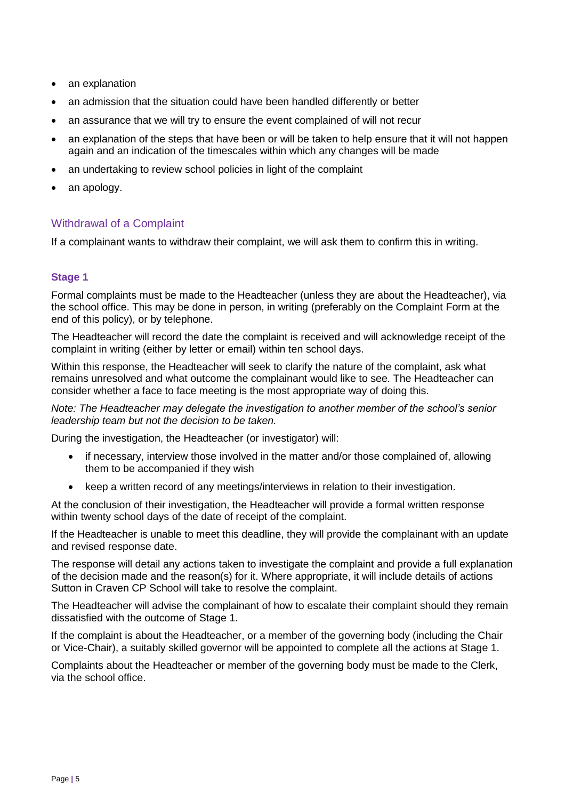- an explanation
- an admission that the situation could have been handled differently or better
- an assurance that we will try to ensure the event complained of will not recur
- an explanation of the steps that have been or will be taken to help ensure that it will not happen again and an indication of the timescales within which any changes will be made
- an undertaking to review school policies in light of the complaint
- an apology.

# Withdrawal of a Complaint

If a complainant wants to withdraw their complaint, we will ask them to confirm this in writing.

#### **Stage 1**

Formal complaints must be made to the Headteacher (unless they are about the Headteacher), via the school office. This may be done in person, in writing (preferably on the Complaint Form at the end of this policy), or by telephone.

The Headteacher will record the date the complaint is received and will acknowledge receipt of the complaint in writing (either by letter or email) within ten school days.

Within this response, the Headteacher will seek to clarify the nature of the complaint, ask what remains unresolved and what outcome the complainant would like to see. The Headteacher can consider whether a face to face meeting is the most appropriate way of doing this.

*Note: The Headteacher may delegate the investigation to another member of the school's senior leadership team but not the decision to be taken.*

During the investigation, the Headteacher (or investigator) will:

- if necessary, interview those involved in the matter and/or those complained of, allowing them to be accompanied if they wish
- keep a written record of any meetings/interviews in relation to their investigation.

At the conclusion of their investigation, the Headteacher will provide a formal written response within twenty school days of the date of receipt of the complaint.

If the Headteacher is unable to meet this deadline, they will provide the complainant with an update and revised response date.

The response will detail any actions taken to investigate the complaint and provide a full explanation of the decision made and the reason(s) for it. Where appropriate, it will include details of actions Sutton in Craven CP School will take to resolve the complaint.

The Headteacher will advise the complainant of how to escalate their complaint should they remain dissatisfied with the outcome of Stage 1.

If the complaint is about the Headteacher, or a member of the governing body (including the Chair or Vice-Chair), a suitably skilled governor will be appointed to complete all the actions at Stage 1.

Complaints about the Headteacher or member of the governing body must be made to the Clerk, via the school office.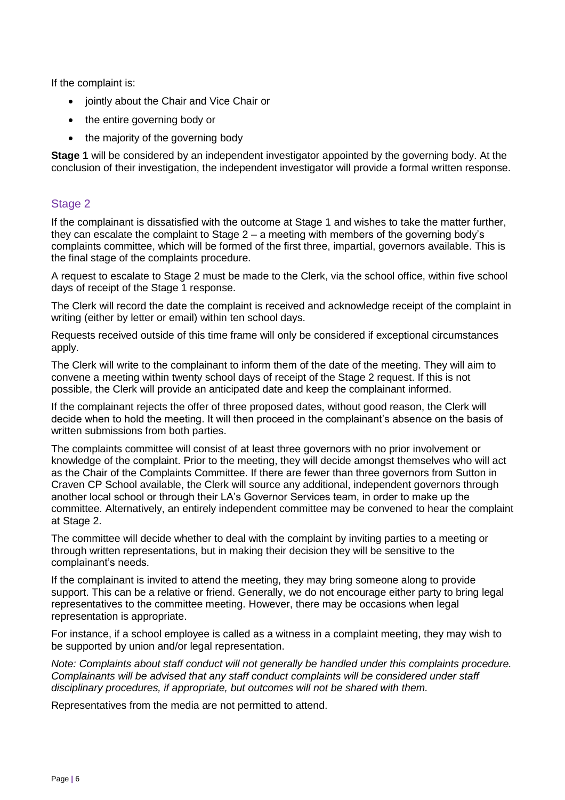If the complaint is:

- jointly about the Chair and Vice Chair or
- the entire governing body or
- the majority of the governing body

**Stage 1** will be considered by an independent investigator appointed by the governing body. At the conclusion of their investigation, the independent investigator will provide a formal written response.

# Stage 2

If the complainant is dissatisfied with the outcome at Stage 1 and wishes to take the matter further, they can escalate the complaint to Stage 2 – a meeting with members of the governing body's complaints committee, which will be formed of the first three, impartial, governors available. This is the final stage of the complaints procedure.

A request to escalate to Stage 2 must be made to the Clerk, via the school office, within five school days of receipt of the Stage 1 response.

The Clerk will record the date the complaint is received and acknowledge receipt of the complaint in writing (either by letter or email) within ten school days.

Requests received outside of this time frame will only be considered if exceptional circumstances apply.

The Clerk will write to the complainant to inform them of the date of the meeting. They will aim to convene a meeting within twenty school days of receipt of the Stage 2 request. If this is not possible, the Clerk will provide an anticipated date and keep the complainant informed.

If the complainant rejects the offer of three proposed dates, without good reason, the Clerk will decide when to hold the meeting. It will then proceed in the complainant's absence on the basis of written submissions from both parties.

The complaints committee will consist of at least three governors with no prior involvement or knowledge of the complaint. Prior to the meeting, they will decide amongst themselves who will act as the Chair of the Complaints Committee. If there are fewer than three governors from Sutton in Craven CP School available, the Clerk will source any additional, independent governors through another local school or through their LA's Governor Services team, in order to make up the committee. Alternatively, an entirely independent committee may be convened to hear the complaint at Stage 2.

The committee will decide whether to deal with the complaint by inviting parties to a meeting or through written representations, but in making their decision they will be sensitive to the complainant's needs.

If the complainant is invited to attend the meeting, they may bring someone along to provide support. This can be a relative or friend. Generally, we do not encourage either party to bring legal representatives to the committee meeting. However, there may be occasions when legal representation is appropriate.

For instance, if a school employee is called as a witness in a complaint meeting, they may wish to be supported by union and/or legal representation.

*Note: Complaints about staff conduct will not generally be handled under this complaints procedure. Complainants will be advised that any staff conduct complaints will be considered under staff disciplinary procedures, if appropriate, but outcomes will not be shared with them.* 

Representatives from the media are not permitted to attend.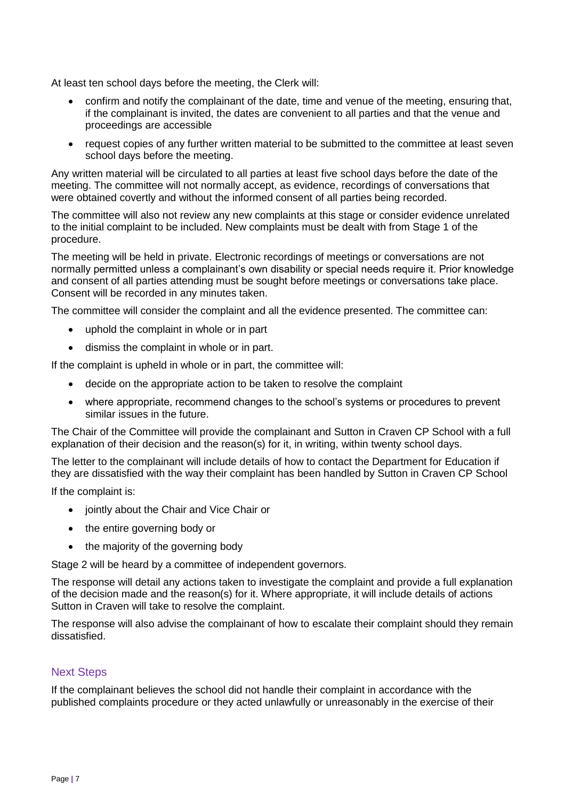At least ten school days before the meeting, the Clerk will:

- confirm and notify the complainant of the date, time and venue of the meeting, ensuring that, if the complainant is invited, the dates are convenient to all parties and that the venue and proceedings are accessible
- request copies of any further written material to be submitted to the committee at least seven school days before the meeting.

Any written material will be circulated to all parties at least five school days before the date of the meeting. The committee will not normally accept, as evidence, recordings of conversations that were obtained covertly and without the informed consent of all parties being recorded.

The committee will also not review any new complaints at this stage or consider evidence unrelated to the initial complaint to be included. New complaints must be dealt with from Stage 1 of the procedure.

The meeting will be held in private. Electronic recordings of meetings or conversations are not normally permitted unless a complainant's own disability or special needs require it. Prior knowledge and consent of all parties attending must be sought before meetings or conversations take place. Consent will be recorded in any minutes taken.

The committee will consider the complaint and all the evidence presented. The committee can:

- uphold the complaint in whole or in part
- dismiss the complaint in whole or in part.

If the complaint is upheld in whole or in part, the committee will:

- decide on the appropriate action to be taken to resolve the complaint
- where appropriate, recommend changes to the school's systems or procedures to prevent similar issues in the future.

The Chair of the Committee will provide the complainant and Sutton in Craven CP School with a full explanation of their decision and the reason(s) for it, in writing, within twenty school days.

The letter to the complainant will include details of how to contact the Department for Education if they are dissatisfied with the way their complaint has been handled by Sutton in Craven CP School

If the complaint is:

- jointly about the Chair and Vice Chair or
- the entire governing body or
- the majority of the governing body

Stage 2 will be heard by a committee of independent governors.

The response will detail any actions taken to investigate the complaint and provide a full explanation of the decision made and the reason(s) for it. Where appropriate, it will include details of actions Sutton in Craven will take to resolve the complaint.

The response will also advise the complainant of how to escalate their complaint should they remain dissatisfied.

#### Next Steps

If the complainant believes the school did not handle their complaint in accordance with the published complaints procedure or they acted unlawfully or unreasonably in the exercise of their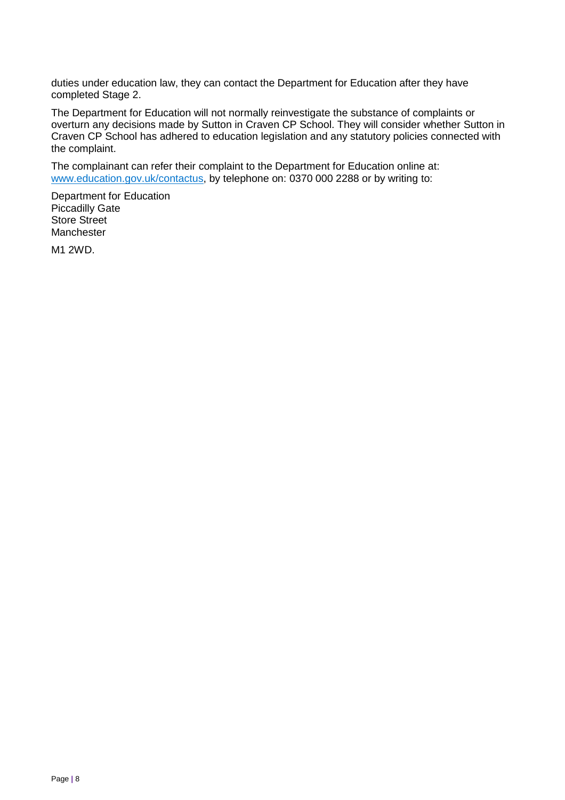duties under education law, they can contact the Department for Education after they have completed Stage 2.

The Department for Education will not normally reinvestigate the substance of complaints or overturn any decisions made by Sutton in Craven CP School. They will consider whether Sutton in Craven CP School has adhered to education legislation and any statutory policies connected with the complaint.

The complainant can refer their complaint to the Department for Education online at: [www.education.gov.uk/contactus,](http://www.education.gov.uk/contactus) by telephone on: 0370 000 2288 or by writing to:

Department for Education Piccadilly Gate Store Street **Manchester** 

M1 2WD.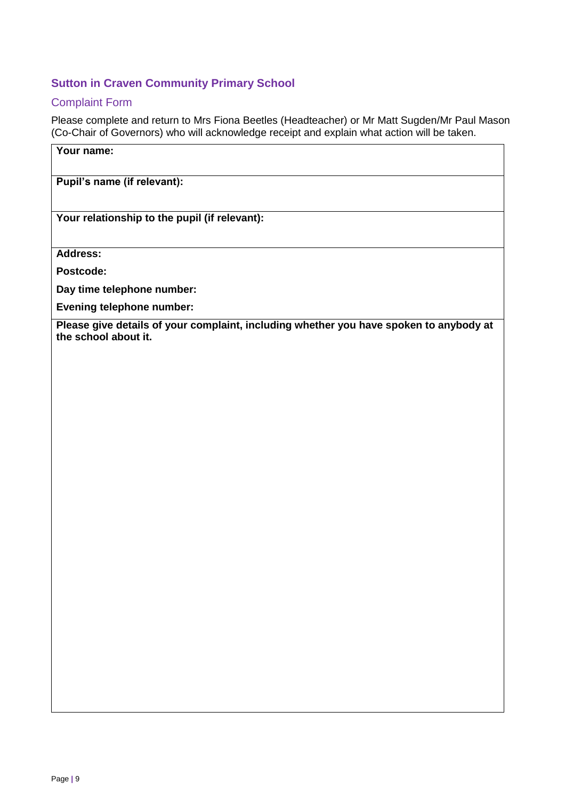# **Sutton in Craven Community Primary School**

### Complaint Form

Please complete and return to Mrs Fiona Beetles (Headteacher) or Mr Matt Sugden/Mr Paul Mason (Co-Chair of Governors) who will acknowledge receipt and explain what action will be taken.

#### **Your name:**

**Pupil's name (if relevant):**

**Your relationship to the pupil (if relevant):**

**Address:** 

**Postcode:**

**Day time telephone number:**

**Evening telephone number:**

**Please give details of your complaint, including whether you have spoken to anybody at the school about it.**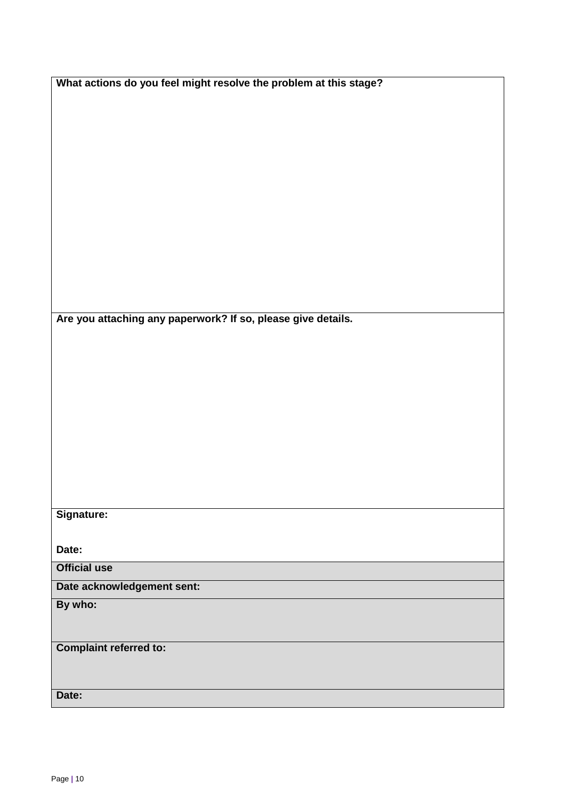| What actions do you feel might resolve the problem at this stage? |  |  |  |
|-------------------------------------------------------------------|--|--|--|
|                                                                   |  |  |  |
|                                                                   |  |  |  |
|                                                                   |  |  |  |
|                                                                   |  |  |  |
|                                                                   |  |  |  |
|                                                                   |  |  |  |
|                                                                   |  |  |  |
|                                                                   |  |  |  |
|                                                                   |  |  |  |
|                                                                   |  |  |  |
|                                                                   |  |  |  |
|                                                                   |  |  |  |
|                                                                   |  |  |  |
| Are you attaching any paperwork? If so, please give details.      |  |  |  |
|                                                                   |  |  |  |
|                                                                   |  |  |  |
|                                                                   |  |  |  |
|                                                                   |  |  |  |
|                                                                   |  |  |  |
|                                                                   |  |  |  |
|                                                                   |  |  |  |
|                                                                   |  |  |  |
|                                                                   |  |  |  |
|                                                                   |  |  |  |
|                                                                   |  |  |  |
| Signature:                                                        |  |  |  |
|                                                                   |  |  |  |
| Date:                                                             |  |  |  |
| <b>Official use</b>                                               |  |  |  |
| Date acknowledgement sent:                                        |  |  |  |
| By who:                                                           |  |  |  |
|                                                                   |  |  |  |
|                                                                   |  |  |  |
| <b>Complaint referred to:</b>                                     |  |  |  |
|                                                                   |  |  |  |
|                                                                   |  |  |  |
| Date:                                                             |  |  |  |
|                                                                   |  |  |  |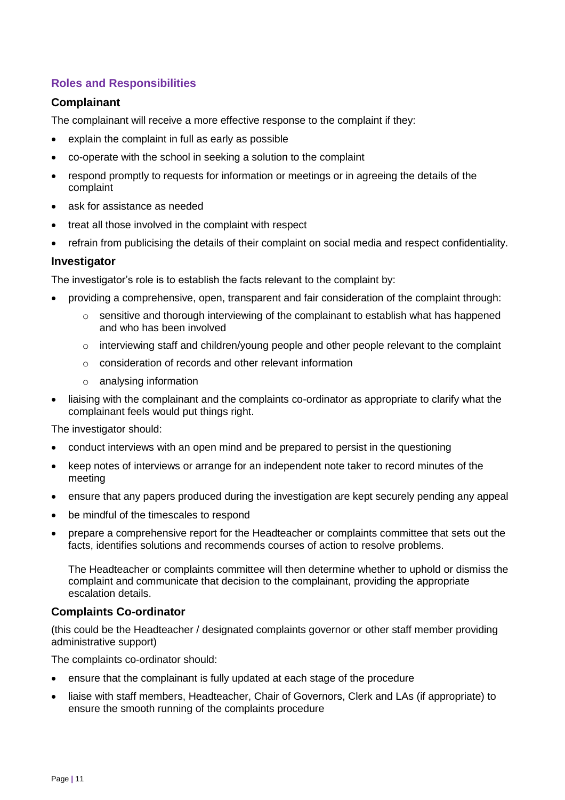# **Roles and Responsibilities**

### **Complainant**

The complainant will receive a more effective response to the complaint if they:

- explain the complaint in full as early as possible
- co-operate with the school in seeking a solution to the complaint
- respond promptly to requests for information or meetings or in agreeing the details of the complaint
- ask for assistance as needed
- treat all those involved in the complaint with respect
- refrain from publicising the details of their complaint on social media and respect confidentiality.

#### **Investigator**

The investigator's role is to establish the facts relevant to the complaint by:

- providing a comprehensive, open, transparent and fair consideration of the complaint through:
	- o sensitive and thorough interviewing of the complainant to establish what has happened and who has been involved
	- o interviewing staff and children/young people and other people relevant to the complaint
	- o consideration of records and other relevant information
	- o analysing information
- liaising with the complainant and the complaints co-ordinator as appropriate to clarify what the complainant feels would put things right.

The investigator should:

- conduct interviews with an open mind and be prepared to persist in the questioning
- keep notes of interviews or arrange for an independent note taker to record minutes of the meeting
- ensure that any papers produced during the investigation are kept securely pending any appeal
- be mindful of the timescales to respond
- prepare a comprehensive report for the Headteacher or complaints committee that sets out the facts, identifies solutions and recommends courses of action to resolve problems.

The Headteacher or complaints committee will then determine whether to uphold or dismiss the complaint and communicate that decision to the complainant, providing the appropriate escalation details.

# **Complaints Co-ordinator**

(this could be the Headteacher / designated complaints governor or other staff member providing administrative support)

The complaints co-ordinator should:

- ensure that the complainant is fully updated at each stage of the procedure
- liaise with staff members, Headteacher, Chair of Governors, Clerk and LAs (if appropriate) to ensure the smooth running of the complaints procedure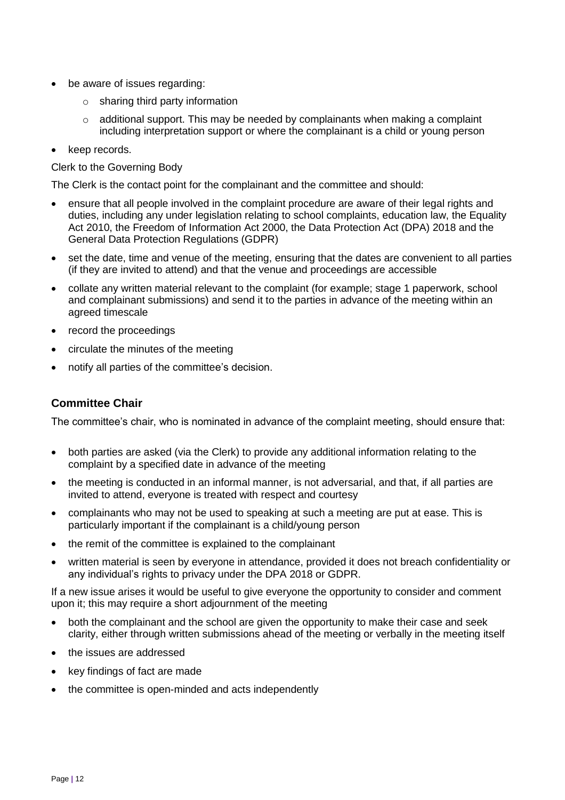- be aware of issues regarding:
	- o sharing third party information
	- o additional support. This may be needed by complainants when making a complaint including interpretation support or where the complainant is a child or young person
- keep records.

Clerk to the Governing Body

The Clerk is the contact point for the complainant and the committee and should:

- ensure that all people involved in the complaint procedure are aware of their legal rights and duties, including any under legislation relating to school complaints, education law, the Equality Act 2010, the Freedom of Information Act 2000, the Data Protection Act (DPA) 2018 and the General Data Protection Regulations (GDPR)
- set the date, time and venue of the meeting, ensuring that the dates are convenient to all parties (if they are invited to attend) and that the venue and proceedings are accessible
- collate any written material relevant to the complaint (for example; stage 1 paperwork, school and complainant submissions) and send it to the parties in advance of the meeting within an agreed timescale
- record the proceedings
- circulate the minutes of the meeting
- notify all parties of the committee's decision.

# **Committee Chair**

The committee's chair, who is nominated in advance of the complaint meeting, should ensure that:

- both parties are asked (via the Clerk) to provide any additional information relating to the complaint by a specified date in advance of the meeting
- the meeting is conducted in an informal manner, is not adversarial, and that, if all parties are invited to attend, everyone is treated with respect and courtesy
- complainants who may not be used to speaking at such a meeting are put at ease. This is particularly important if the complainant is a child/young person
- the remit of the committee is explained to the complainant
- written material is seen by everyone in attendance, provided it does not breach confidentiality or any individual's rights to privacy under the DPA 2018 or GDPR.

If a new issue arises it would be useful to give everyone the opportunity to consider and comment upon it; this may require a short adjournment of the meeting

- both the complainant and the school are given the opportunity to make their case and seek clarity, either through written submissions ahead of the meeting or verbally in the meeting itself
- the issues are addressed
- key findings of fact are made
- the committee is open-minded and acts independently